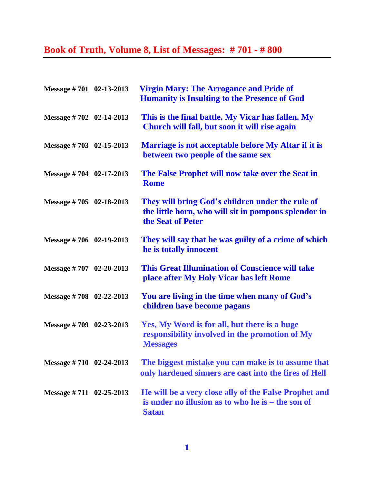## **Book of Truth, Volume 8, List of Messages: # 701 - # 800**

| Message #701 02-13-2013     | <b>Virgin Mary: The Arrogance and Pride of</b><br><b>Humanity is Insulting to the Presence of God</b>                         |
|-----------------------------|-------------------------------------------------------------------------------------------------------------------------------|
| Message #702 02-14-2013     | This is the final battle. My Vicar has fallen. My<br>Church will fall, but soon it will rise again                            |
| Message #703 02-15-2013     | Marriage is not acceptable before My Altar if it is<br>between two people of the same sex                                     |
| Message $\# 704$ 02-17-2013 | The False Prophet will now take over the Seat in<br><b>Rome</b>                                                               |
| Message $\# 705$ 02-18-2013 | They will bring God's children under the rule of<br>the little horn, who will sit in pompous splendor in<br>the Seat of Peter |
| Message #706 02-19-2013     | They will say that he was guilty of a crime of which<br>he is totally innocent                                                |
| Message $\# 707$ 02-20-2013 | <b>This Great Illumination of Conscience will take</b><br>place after My Holy Vicar has left Rome                             |
| Message $\# 708$ 02-22-2013 | You are living in the time when many of God's<br>children have become pagans                                                  |
| Message $\# 709$ 02-23-2013 | Yes, My Word is for all, but there is a huge<br>responsibility involved in the promotion of My<br><b>Messages</b>             |
| Message #710 02-24-2013     | The biggest mistake you can make is to assume that<br>only hardened sinners are cast into the fires of Hell                   |
| Message $\# 711$ 02-25-2013 | He will be a very close ally of the False Prophet and<br>is under no illusion as to who he is – the son of<br><b>Satan</b>    |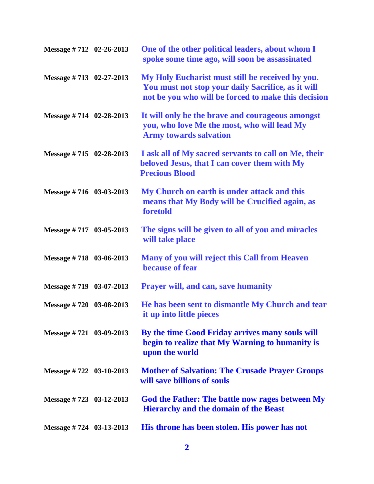| Message #712 02-26-2013           | One of the other political leaders, about whom I<br>spoke some time ago, will soon be assassinated                                                            |
|-----------------------------------|---------------------------------------------------------------------------------------------------------------------------------------------------------------|
| Message #713 02-27-2013           | My Holy Eucharist must still be received by you.<br>You must not stop your daily Sacrifice, as it will<br>not be you who will be forced to make this decision |
| Message #714 02-28-2013           | It will only be the brave and courageous amongst<br>you, who love Me the most, who will lead My<br><b>Army towards salvation</b>                              |
| Message $\# 715 \quad 02-28-2013$ | I ask all of My sacred servants to call on Me, their<br>beloved Jesus, that I can cover them with My<br><b>Precious Blood</b>                                 |
| Message #716 03-03-2013           | My Church on earth is under attack and this<br>means that My Body will be Crucified again, as<br>foretold                                                     |
| Message #717 03-05-2013           | The signs will be given to all of you and miracles<br>will take place                                                                                         |
| Message #718 03-06-2013           | Many of you will reject this Call from Heaven<br>because of fear                                                                                              |
| Message #719 03-07-2013           | <b>Prayer will, and can, save humanity</b>                                                                                                                    |
| Message #720 03-08-2013           | He has been sent to dismantle My Church and tear<br>it up into little pieces                                                                                  |
| Message $\# 721$ 03-09-2013       | By the time Good Friday arrives many souls will<br>begin to realize that My Warning to humanity is<br>upon the world                                          |
| Message #722 03-10-2013           | <b>Mother of Salvation: The Crusade Prayer Groups</b><br>will save billions of souls                                                                          |
| Message $\# 723$ 03-12-2013       | God the Father: The battle now rages between My<br><b>Hierarchy and the domain of the Beast</b>                                                               |
| Message #724 03-13-2013           | His throne has been stolen. His power has not                                                                                                                 |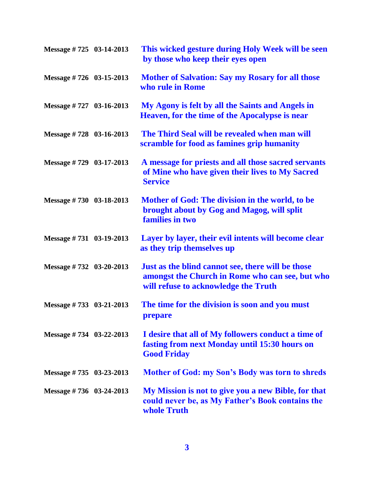| Message #725 03-14-2013 | This wicked gesture during Holy Week will be seen<br>by those who keep their eyes open                                                       |
|-------------------------|----------------------------------------------------------------------------------------------------------------------------------------------|
| Message #726 03-15-2013 | <b>Mother of Salvation: Say my Rosary for all those</b><br>who rule in Rome                                                                  |
| Message #727 03-16-2013 | My Agony is felt by all the Saints and Angels in<br><b>Heaven, for the time of the Apocalypse is near</b>                                    |
| Message #728 03-16-2013 | The Third Seal will be revealed when man will<br>scramble for food as famines grip humanity                                                  |
| Message #729 03-17-2013 | A message for priests and all those sacred servants<br>of Mine who have given their lives to My Sacred<br><b>Service</b>                     |
| Message #730 03-18-2013 | Mother of God: The division in the world, to be<br>brought about by Gog and Magog, will split<br>families in two                             |
| Message #731 03-19-2013 | Layer by layer, their evil intents will become clear<br>as they trip themselves up                                                           |
| Message #732 03-20-2013 | Just as the blind cannot see, there will be those<br>amongst the Church in Rome who can see, but who<br>will refuse to acknowledge the Truth |
| Message #733 03-21-2013 | The time for the division is soon and you must<br>prepare                                                                                    |
| Message #734 03-22-2013 | I desire that all of My followers conduct a time of<br>fasting from next Monday until 15:30 hours on<br><b>Good Friday</b>                   |
| Message #735 03-23-2013 | <b>Mother of God: my Son's Body was torn to shreds</b>                                                                                       |
| Message #736 03-24-2013 | My Mission is not to give you a new Bible, for that<br>could never be, as My Father's Book contains the<br>whole Truth                       |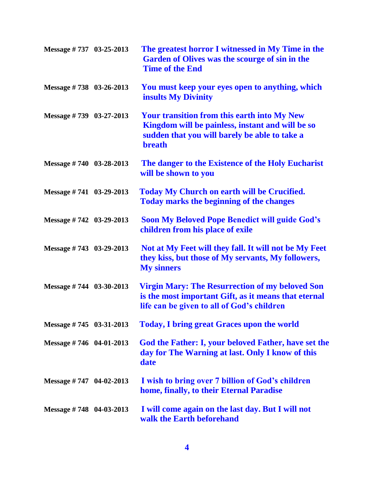| Message #737 03-25-2013     | The greatest horror I witnessed in My Time in the<br>Garden of Olives was the scourge of sin in the<br><b>Time of the End</b>                                            |
|-----------------------------|--------------------------------------------------------------------------------------------------------------------------------------------------------------------------|
| Message #738 03-26-2013     | You must keep your eyes open to anything, which<br><b>insults My Divinity</b>                                                                                            |
| Message #739 03-27-2013     | <b>Your transition from this earth into My New</b><br>Kingdom will be painless, instant and will be so<br>sudden that you will barely be able to take a<br><b>breath</b> |
| Message #740 03-28-2013     | The danger to the Existence of the Holy Eucharist<br>will be shown to you                                                                                                |
| Message #741 03-29-2013     | <b>Today My Church on earth will be Crucified.</b><br><b>Today marks the beginning of the changes</b>                                                                    |
| Message #742 03-29-2013     | <b>Soon My Beloved Pope Benedict will guide God's</b><br>children from his place of exile                                                                                |
| Message #743 03-29-2013     | Not at My Feet will they fall. It will not be My Feet<br>they kiss, but those of My servants, My followers,<br><b>My sinners</b>                                         |
| Message $\# 744$ 03-30-2013 | <b>Virgin Mary: The Resurrection of my beloved Son</b><br>is the most important Gift, as it means that eternal<br>life can be given to all of God's children             |
| Message #745 03-31-2013     | <b>Today, I bring great Graces upon the world</b>                                                                                                                        |
| Message #746 04-01-2013     | God the Father: I, your beloved Father, have set the<br>day for The Warning at last. Only I know of this<br>date                                                         |
| Message $\# 747$ 04-02-2013 | I wish to bring over 7 billion of God's children<br>home, finally, to their Eternal Paradise                                                                             |
| Message #748 04-03-2013     | I will come again on the last day. But I will not<br>walk the Earth beforehand                                                                                           |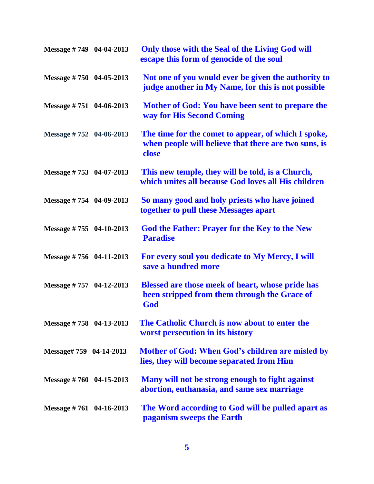| Message #749 04-04-2013     | Only those with the Seal of the Living God will<br>escape this form of genocide of the soul                          |
|-----------------------------|----------------------------------------------------------------------------------------------------------------------|
| Message $\# 750$ 04-05-2013 | Not one of you would ever be given the authority to<br>judge another in My Name, for this is not possible            |
| Message $\# 751$ 04-06-2013 | Mother of God: You have been sent to prepare the<br>way for His Second Coming                                        |
| Message #752 04-06-2013     | The time for the comet to appear, of which I spoke,<br>when people will believe that there are two suns, is<br>close |
| Message #753 04-07-2013     | This new temple, they will be told, is a Church,<br>which unites all because God loves all His children              |
| Message #754 04-09-2013     | So many good and holy priests who have joined<br>together to pull these Messages apart                               |
| Message $\# 755$ 04-10-2013 | <b>God the Father: Prayer for the Key to the New</b><br><b>Paradise</b>                                              |
| Message $\# 756$ 04-11-2013 | For every soul you dedicate to My Mercy, I will<br>save a hundred more                                               |
| Message $\# 757$ 04-12-2013 | Blessed are those meek of heart, whose pride has<br>been stripped from them through the Grace of<br>God              |
| Message #758 04-13-2013     | The Catholic Church is now about to enter the<br>worst persecution in its history                                    |
| Message# 759 04-14-2013     | Mother of God: When God's children are misled by<br>lies, they will become separated from Him                        |
| Message $\# 760$ 04-15-2013 | Many will not be strong enough to fight against<br>abortion, euthanasia, and same sex marriage                       |
| Message $\# 761$ 04-16-2013 | The Word according to God will be pulled apart as<br>paganism sweeps the Earth                                       |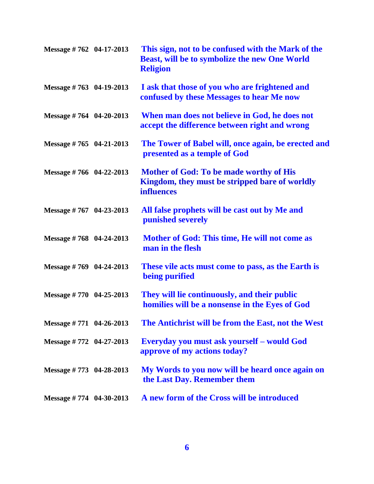| Message #762 04-17-2013           | This sign, not to be confused with the Mark of the<br>Beast, will be to symbolize the new One World<br><b>Religion</b> |
|-----------------------------------|------------------------------------------------------------------------------------------------------------------------|
| Message $\# 763$ 04-19-2013       | I ask that those of you who are frightened and<br>confused by these Messages to hear Me now                            |
| Message #764 04-20-2013           | When man does not believe in God, he does not<br>accept the difference between right and wrong                         |
| Message $\# 765 \quad 04-21-2013$ | The Tower of Babel will, once again, be erected and<br>presented as a temple of God                                    |
| Message #766 04-22-2013           | <b>Mother of God: To be made worthy of His</b><br>Kingdom, they must be stripped bare of worldly<br><b>influences</b>  |
| Message #767 04-23-2013           | All false prophets will be cast out by Me and<br>punished severely                                                     |
| Message #768 04-24-2013           | Mother of God: This time, He will not come as<br>man in the flesh                                                      |
| Message $\# 769$ 04-24-2013       | These vile acts must come to pass, as the Earth is<br>being purified                                                   |
| Message #770 04-25-2013           | They will lie continuously, and their public<br>homilies will be a nonsense in the Eyes of God                         |
| Message $\# 771$ 04-26-2013       | The Antichrist will be from the East, not the West                                                                     |
| Message #772 04-27-2013           | Everyday you must ask yourself – would God<br>approve of my actions today?                                             |
| Message #773 04-28-2013           | My Words to you now will be heard once again on<br>the Last Day. Remember them                                         |
| Message $\# 774 \quad 04-30-2013$ | A new form of the Cross will be introduced                                                                             |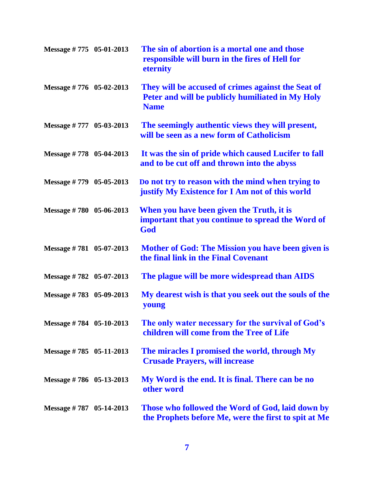| Message #775 05-01-2013           | The sin of abortion is a mortal one and those<br>responsible will burn in the fires of Hell for<br>eternity           |
|-----------------------------------|-----------------------------------------------------------------------------------------------------------------------|
| Message #776 05-02-2013           | They will be accused of crimes against the Seat of<br>Peter and will be publicly humiliated in My Holy<br><b>Name</b> |
| Message #777 05-03-2013           | The seemingly authentic views they will present,<br>will be seen as a new form of Catholicism                         |
| Message $\# 778$ 05-04-2013       | It was the sin of pride which caused Lucifer to fall<br>and to be cut off and thrown into the abyss                   |
| Message #779 05-05-2013           | Do not try to reason with the mind when trying to<br>justify My Existence for I Am not of this world                  |
| Message #780 05-06-2013           | When you have been given the Truth, it is<br>important that you continue to spread the Word of<br>God                 |
| Message $\# 781 \quad 05-07-2013$ | <b>Mother of God: The Mission you have been given is</b><br>the final link in the Final Covenant                      |
| Message #782 05-07-2013           | The plague will be more widespread than AIDS                                                                          |
| Message #783 05-09-2013           | My dearest wish is that you seek out the souls of the<br>young                                                        |
| Message #784 05-10-2013           | The only water necessary for the survival of God's<br>children will come from the Tree of Life                        |
| Message #785 05-11-2013           | The miracles I promised the world, through My<br><b>Crusade Prayers, will increase</b>                                |
| Message #786 05-13-2013           | My Word is the end. It is final. There can be no<br>other word                                                        |
| Message #787 05-14-2013           | Those who followed the Word of God, laid down by<br>the Prophets before Me, were the first to spit at Me              |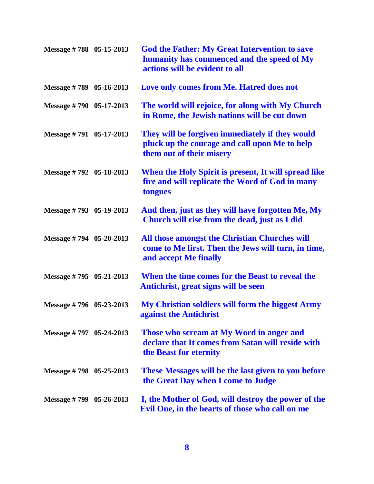| Message #788 05-15-2013     | <b>God the Father: My Great Intervention to save</b><br>humanity has commenced and the speed of My<br>actions will be evident to all |
|-----------------------------|--------------------------------------------------------------------------------------------------------------------------------------|
| Message #789 05-16-2013     | Love only comes from Me. Hatred does not                                                                                             |
| Message #790 05-17-2013     | The world will rejoice, for along with My Church<br>in Rome, the Jewish nations will be cut down                                     |
| Message #791 05-17-2013     | They will be forgiven immediately if they would<br>pluck up the courage and call upon Me to help<br>them out of their misery         |
| Message #792 05-18-2013     | When the Holy Spirit is present, It will spread like<br>fire and will replicate the Word of God in many<br>tongues                   |
| Message #793 05-19-2013     | And then, just as they will have forgotten Me, My<br>Church will rise from the dead, just as I did                                   |
| Message $\# 794$ 05-20-2013 | All those amongst the Christian Churches will<br>come to Me first. Then the Jews will turn, in time,<br>and accept Me finally        |
| Message #795 05-21-2013     | When the time comes for the Beast to reveal the<br>Antichrist, great signs will be seen                                              |
| Message #796 05-23-2013     | My Christian soldiers will form the biggest Army<br>against the Antichrist                                                           |
| Message # $797$ 05-24-2013  | Those who scream at My Word in anger and<br>declare that It comes from Satan will reside with<br>the Beast for eternity              |
| Message #798 05-25-2013     | <b>These Messages will be the last given to you before</b><br>the Great Day when I come to Judge                                     |
| Message $\# 799$ 05-26-2013 | I, the Mother of God, will destroy the power of the<br>Evil One, in the hearts of those who call on me                               |